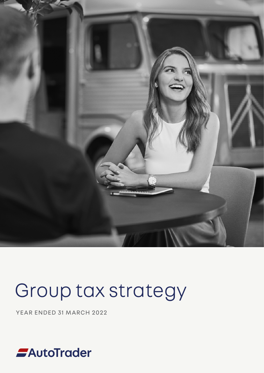

# Group tax strategy

YEAR ENDED 31 MARCH 2022

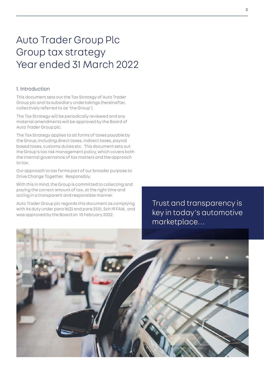## Auto Trader Group Plc Group tax strategy Year ended 31 March 2022

#### 1. Introduction

This document sets out the Tax Strategy of Auto Trader Group plc and its subsidiary undertakings (hereinafter, collectively referred to as 'the Group').

The Tax Strategy will be periodically reviewed and any material amendments will be approved by the Board of Auto Trader Group plc.

The Tax Strategy applies to all forms of taxes payable by the Group, including direct taxes, indirect taxes, payroll based taxes, customs duties etc. This document sets out the Group's tax risk management policy, which covers both the internal governance of tax matters and the approach to tax.

Our approach to tax forms part of our broader purpose to Drive Change Together. Responsibly.

With this in mind, the Group is committed to collecting and paying the correct amount of tax, at the right time and acting in a transparent and responsible manner.

Auto Trader Group plc regards this document as complying with its duty under para 16(2) and para 25(1), Sch 19 FA16, and was approved by the Board on 10 February 2022.

Trust and transparency is key in today's automotive marketplace…

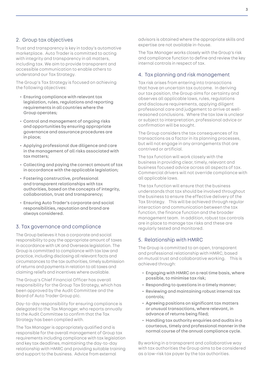### 2. Group tax objectives

Trust and transparency is key in today's automotive marketplace. Auto Trader is committed to acting with integrity and transparency in all matters, including tax. We aim to provide transparent and accessible communication to enable others to understand our Tax Strategy.

The Group's Tax Strategy is focused on achieving the following objectives:

- Ensuring compliance with relevant tax legislation, rules, regulations and reporting requirements in all countries where the Group operates;
- Control and management of ongoing risks and opportunities by ensuring appropriate governance and assurance procedures are in place;
- Applying professional due diligence and care in the management of all risks associated with tax matters;
- Collecting and paying the correct amount of tax in accordance with the applicable legislation;
- Fostering constructive, professional and transparent relationships with tax authorities, based on the concepts of integrity, collaboration, trust and transparency;
- Ensuring Auto Trader's corporate and social responsibilities, reputation and brand are always considered.

#### 3. Tax governance and compliance

The Group believes it has a corporate and social responsibility to pay the appropriate amount of taxes in accordance with UK and Overseas legislation. The Group is committed to compliance with tax law and practice, including disclosing all relevant facts and circumstances to the tax authorities, timely submission of returns and payments in relation to all taxes and claiming reliefs and incentives where available.

The Group's Chief Financial Officer has overall responsibility for the Group Tax Strategy, which has been approved by the Audit Committee and the Board of Auto Trader Group plc.

Day-to-day responsibility for ensuring compliance is delegated to the Tax Manager, who reports annually to the Audit Committee to confirm that the Tax Strategy has been complied with.

The Tax Manager is appropriately qualified and is responsible for the overall management of Group tax requirements including compliance with tax legislation and key tax deadlines, maintaining the day-to-day relationship with HMRC and providing suitable training and support to the business. Advice from external

advisors is obtained where the appropriate skills and expertise are not available in-house.

The Tax Manager works closely with the Group's risk and compliance function to define and review the key internal controls in respect of tax.

### 4. Tax planning and risk management

Tax risk arises from entering into transactions that have an uncertain tax outcome. In deriving our tax position, the Group aims for certainty and observes all applicable laws, rules, regulations and disclosure requirements, applying diligent professional care and judgement to arrive at wellreasoned conclusions. Where the tax law is unclear or subject to interpretation, professional advice or confirmation will be sought.

The Group considers the tax consequences of its transactions as a factor in its planning processes, but will not engage in any arrangements that are contrived or artificial.

The tax function will work closely with the business in providing clear, timely, relevant and business focused advice across all aspects of tax. Commercial drivers will not override compliance with all applicable laws.

The tax function will ensure that the business understands that tax should be involved throughout the business to ensure the effective delivery of the Tax Strategy. This will be achieved through regular interaction and communication between the tax function, the finance function and the broader management team. In addition, robust tax controls are in place to manage tax risks and these are regularly tested and monitored.

#### 5. Relationship with HMRC

The Group is committed to an open, transparent and professional relationship with HMRC, based on mutual trust and collaborative working. This is achieved through:

- Engaging with HMRC on a real time basis, where possible, to minimise tax risk;
- Responding to questions in a timely manner;
- Reviewing and maintaining robust internal tax controls;
- Agreeing positions on significant tax matters or unusual transactions, where relevant, in advance of returns being filed;
- Handling tax authority enquiries and audits in a courteous, timely and professional manner in the normal course of the annual compliance cycle.

By working in a transparent and collaborative way with tax authorities the Group aims to be considered as a low-risk tax payer by the tax authorities.